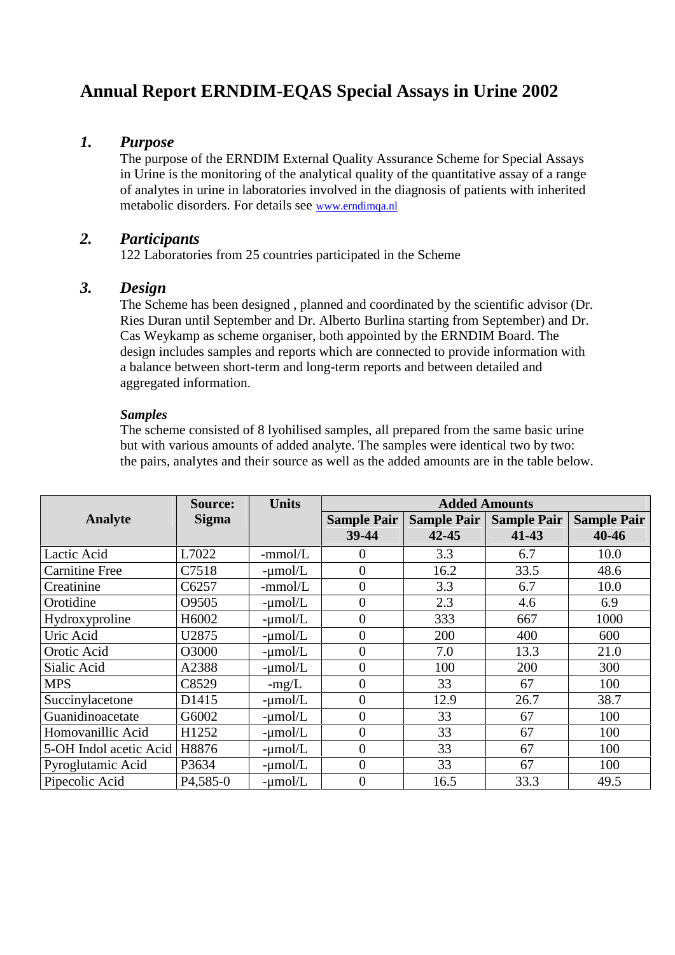# **Annual Report ERNDIM-EQAS Special Assays in Urine 2002**

## *1. Purpose*

The purpose of the ERNDIM External Quality Assurance Scheme for Special Assays in Urine is the monitoring of the analytical quality of the quantitative assay of a range of analytes in urine in laboratories involved in the diagnosis of patients with inherited metabolic disorders. For details see www.erndimqa.nl

# *2. Participants*

122 Laboratories from 25 countries participated in the Scheme

## *3. Design*

The Scheme has been designed , planned and coordinated by the scientific advisor (Dr. Ries Duran until September and Dr. Alberto Burlina starting from September) and Dr. Cas Weykamp as scheme organiser, both appointed by the ERNDIM Board. The design includes samples and reports which are connected to provide information with a balance between short-term and long-term reports and between detailed and aggregated information.

## *Samples*

The scheme consisted of 8 lyohilised samples, all prepared from the same basic urine but with various amounts of added analyte. The samples were identical two by two: the pairs, analytes and their source as well as the added amounts are in the table below.

|                        | <b>Source:</b>         | <b>Units</b> | <b>Added Amounts</b> |                    |                    |                    |
|------------------------|------------------------|--------------|----------------------|--------------------|--------------------|--------------------|
| <b>Analyte</b>         | <b>Sigma</b>           |              | <b>Sample Pair</b>   | <b>Sample Pair</b> | <b>Sample Pair</b> | <b>Sample Pair</b> |
|                        |                        |              | 39-44                | $42 - 45$          | $41 - 43$          | 40-46              |
| Lactic Acid            | L7022                  | $-mmol/L$    | $\theta$             | 3.3                | 6.7                | 10.0               |
| <b>Carnitine Free</b>  | C7518                  | $-\mu$ mol/L | $\overline{0}$       | 16.2               | 33.5               | 48.6               |
| Creatinine             | C6257                  | -mmol/L      | $\overline{0}$       | 3.3                | 6.7                | 10.0               |
| Orotidine              | O9505                  | $-\mu$ mol/L | $\overline{0}$       | 2.3                | 4.6                | 6.9                |
| Hydroxyproline         | H6002                  | $-\mu$ mol/L | $\overline{0}$       | 333                | 667                | 1000               |
| Uric Acid              | U2875                  | $-\mu$ mol/L | $\overline{0}$       | 200                | 400                | 600                |
| Orotic Acid            | O3000                  | $-\mu$ mol/L | $\overline{0}$       | 7.0                | 13.3               | 21.0               |
| Sialic Acid            | A2388                  | $-\mu$ mol/L | $\overline{0}$       | 100                | 200                | 300                |
| <b>MPS</b>             | C8529                  | $-mg/L$      | $\Omega$             | 33                 | 67                 | 100                |
| Succinylacetone        | D1415                  | $-\mu$ mol/L | $\overline{0}$       | 12.9               | 26.7               | 38.7               |
| Guanidinoacetate       | G6002                  | $-\mu$ mol/L | $\overline{0}$       | 33                 | 67                 | 100                |
| Homovanillic Acid      | H1252                  | $-\mu$ mol/L | $\Omega$             | 33                 | 67                 | 100                |
| 5-OH Indol acetic Acid | H8876                  | $-\mu$ mol/L | $\overline{0}$       | 33                 | 67                 | 100                |
| Pyroglutamic Acid      | P3634                  | $-\mu$ mol/L | $\overline{0}$       | 33                 | 67                 | 100                |
| Pipecolic Acid         | P <sub>4</sub> , 585-0 | $-\mu$ mol/L | $\overline{0}$       | 16.5               | 33.3               | 49.5               |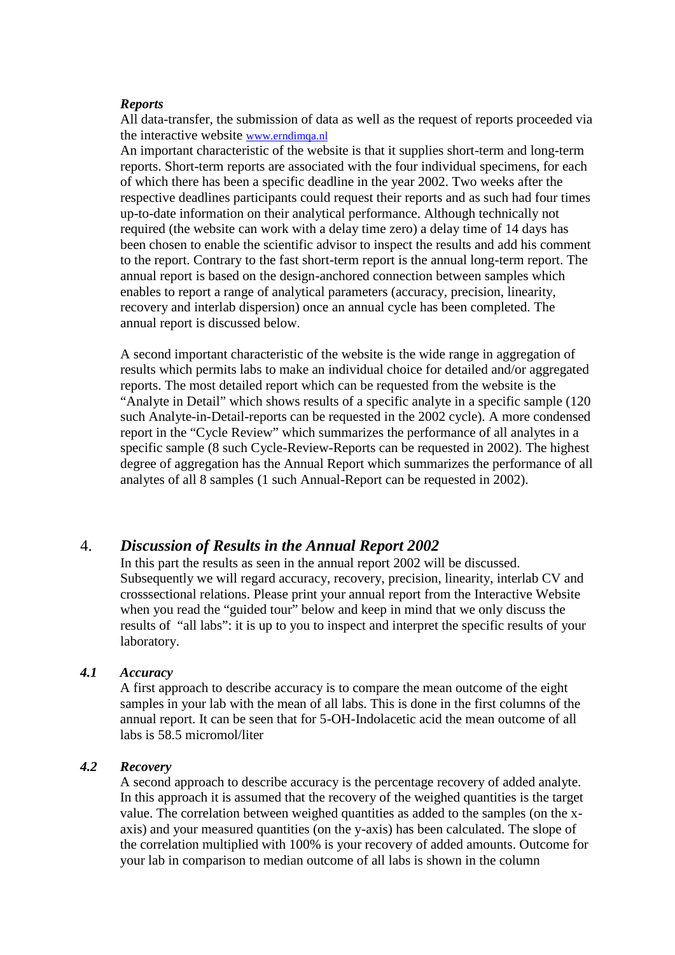#### *Reports*

All data-transfer, the submission of data as well as the request of reports proceeded via the interactive website www.erndimqa.nl

An important characteristic of the website is that it supplies short-term and long-term reports. Short-term reports are associated with the four individual specimens, for each of which there has been a specific deadline in the year 2002. Two weeks after the respective deadlines participants could request their reports and as such had four times up-to-date information on their analytical performance. Although technically not required (the website can work with a delay time zero) a delay time of 14 days has been chosen to enable the scientific advisor to inspect the results and add his comment to the report. Contrary to the fast short-term report is the annual long-term report. The annual report is based on the design-anchored connection between samples which enables to report a range of analytical parameters (accuracy, precision, linearity, recovery and interlab dispersion) once an annual cycle has been completed. The annual report is discussed below.

A second important characteristic of the website is the wide range in aggregation of results which permits labs to make an individual choice for detailed and/or aggregated reports. The most detailed report which can be requested from the website is the "Analyte in Detail" which shows results of a specific analyte in a specific sample (120 such Analyte-in-Detail-reports can be requested in the 2002 cycle). A more condensed report in the "Cycle Review" which summarizes the performance of all analytes in a specific sample (8 such Cycle-Review-Reports can be requested in 2002). The highest degree of aggregation has the Annual Report which summarizes the performance of all analytes of all 8 samples (1 such Annual-Report can be requested in 2002).

## 4. *Discussion of Results in the Annual Report 2002*

In this part the results as seen in the annual report 2002 will be discussed. Subsequently we will regard accuracy, recovery, precision, linearity, interlab CV and crosssectional relations. Please print your annual report from the Interactive Website when you read the "guided tour" below and keep in mind that we only discuss the results of "all labs": it is up to you to inspect and interpret the specific results of your laboratory.

### *4.1 Accuracy*

A first approach to describe accuracy is to compare the mean outcome of the eight samples in your lab with the mean of all labs. This is done in the first columns of the annual report. It can be seen that for 5-OH-Indolacetic acid the mean outcome of all labs is 58.5 micromol/liter

## *4.2 Recovery*

A second approach to describe accuracy is the percentage recovery of added analyte. In this approach it is assumed that the recovery of the weighed quantities is the target value. The correlation between weighed quantities as added to the samples (on the x axis) and your measured quantities (on the y-axis) has been calculated. The slope of the correlation multiplied with 100% is your recovery of added amounts. Outcome for your lab in comparison to median outcome of all labs is shown in the column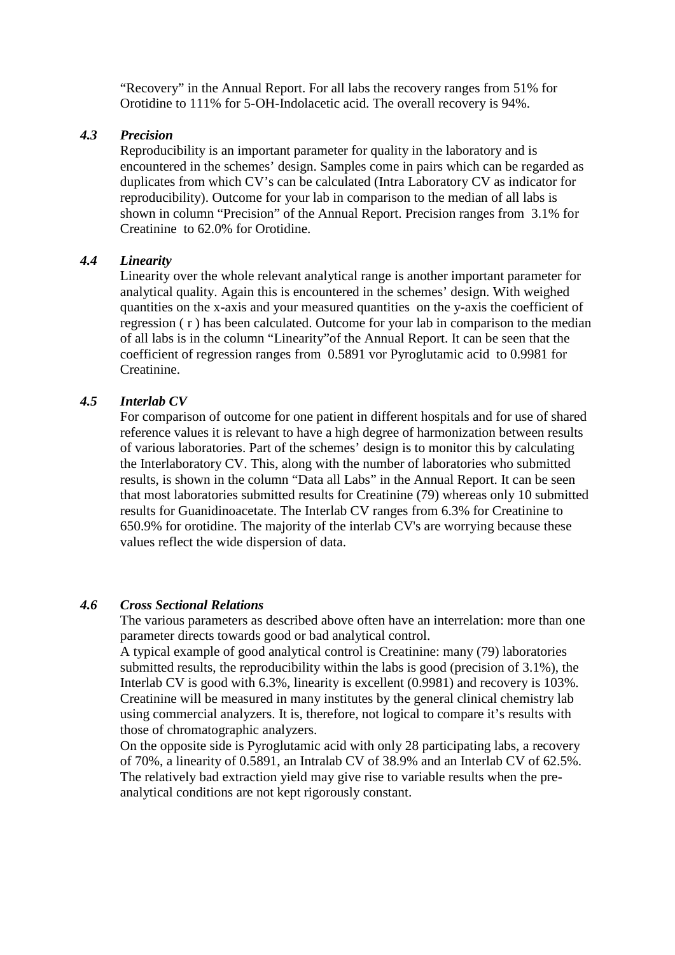"Recovery" in the Annual Report. For all labs the recovery ranges from 51% for Orotidine to 111% for 5-OH-Indolacetic acid. The overall recovery is 94%.

#### *4.3 Precision*

Reproducibility is an important parameter for quality in the laboratory and is encountered in the schemes' design. Samples come in pairs which can be regarded as duplicates from which CV's can be calculated (Intra Laboratory CV as indicator for reproducibility). Outcome for your lab in comparison to the median of all labs is shown in column "Precision" of the Annual Report. Precision ranges from 3.1% for Creatinine to 62.0% for Orotidine.

## *4.4 Linearity*

Linearity over the whole relevant analytical range is another important parameter for analytical quality. Again this is encountered in the schemes' design. With weighed quantities on the x-axis and your measured quantities on the y-axis the coefficient of regression ( r ) has been calculated. Outcome for your lab in comparison to the median of all labs is in the column "Linearity"of the Annual Report. It can be seen that the coefficient of regression ranges from 0.5891 vor Pyroglutamic acid to 0.9981 for Creatinine.

#### *4.5 Interlab CV*

For comparison of outcome for one patient in different hospitals and for use of shared reference values it is relevant to have a high degree of harmonization between results of various laboratories. Part of the schemes' design is to monitor this by calculating the Interlaboratory CV. This, along with the number of laboratories who submitted results, is shown in the column "Data all Labs" in the Annual Report. It can be seen that most laboratories submitted results for Creatinine (79) whereas only 10 submitted results for Guanidinoacetate. The Interlab CV ranges from 6.3% for Creatinine to 650.9% for orotidine. The majority of the interlab CV's are worrying because these values reflect the wide dispersion of data.

#### *4.6 Cross Sectional Relations*

The various parameters as described above often have an interrelation: more than one parameter directs towards good or bad analytical control.

A typical example of good analytical control is Creatinine: many (79) laboratories submitted results, the reproducibility within the labs is good (precision of 3.1%), the Interlab CV is good with 6.3%, linearity is excellent (0.9981) and recovery is 103%. Creatinine will be measured in many institutes by the general clinical chemistry lab using commercial analyzers. It is, therefore, not logical to compare it's results with those of chromatographic analyzers.

On the opposite side is Pyroglutamic acid with only 28 participating labs, a recovery of 70%, a linearity of 0.5891, an Intralab CV of 38.9% and an Interlab CV of 62.5%. The relatively bad extraction yield may give rise to variable results when the pre analytical conditions are not kept rigorously constant.